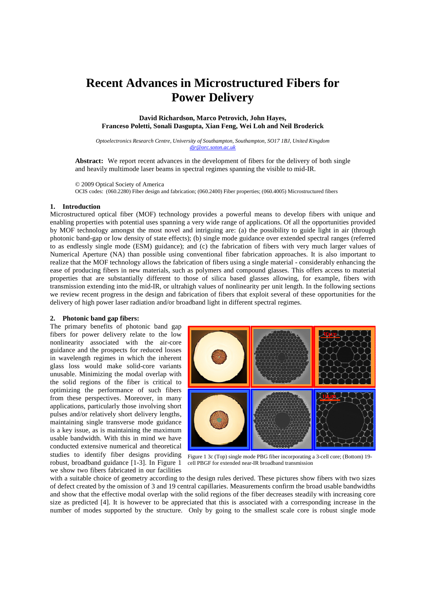# **Recent Advances in Microstructured Fibers for Power Delivery**

**David Richardson, Marco Petrovich, John Hayes, Franceso Poletti, Sonali Dasgupta, Xian Feng, Wei Loh and Neil Broderick** 

*Optoelectronics Research Centre, University of Southampton, Southampton, SO17 1BJ, United Kingdom djr@orc.soton.ac.uk*

**Abstract:** We report recent advances in the development of fibers for the delivery of both single and heavily multimode laser beams in spectral regimes spanning the visible to mid-IR.

© 2009 Optical Society of America OCIS codes: (060.2280) Fiber design and fabrication; (060.2400) Fiber properties; (060.4005) Microstructured fibers

### **1. Introduction**

Microstructured optical fiber (MOF) technology provides a powerful means to develop fibers with unique and enabling properties with potential uses spanning a very wide range of applications. Of all the opportunities provided by MOF technology amongst the most novel and intriguing are: (a) the possibility to guide light in air (through photonic band-gap or low density of state effects); (b) single mode guidance over extended spectral ranges (referred to as endlessly single mode (ESM) guidance); and (c) the fabrication of fibers with very much larger values of Numerical Aperture (NA) than possible using conventional fiber fabrication approaches. It is also important to realize that the MOF technology allows the fabrication of fibers using a single material - considerably enhancing the ease of producing fibers in new materials, such as polymers and compound glasses. This offers access to material properties that are substantially different to those of silica based glasses allowing, for example, fibers with transmission extending into the mid-IR, or ultrahigh values of nonlinearity per unit length. In the following sections we review recent progress in the design and fabrication of fibers that exploit several of these opportunities for the delivery of high power laser radiation and/or broadband light in different spectral regimes.

#### **2. Photonic band gap fibers:**

The primary benefits of photonic band gap fibers for power delivery relate to the low nonlinearity associated with the air-core guidance and the prospects for reduced losses in wavelength regimes in which the inherent glass loss would make solid-core variants unusable. Minimizing the modal overlap with the solid regions of the fiber is critical to optimizing the performance of such fibers from these perspectives. Moreover, in many applications, particularly those involving short pulses and/or relatively short delivery lengths, maintaining single transverse mode guidance is a key issue, as is maintaining the maximum usable bandwidth. With this in mind we have conducted extensive numerical and theoretical studies to identify fiber designs providing Figure 1 3c (Top) single mode PBG fiber incorporating a 3-cell core; (Bottom) 19robust, broadband guidance [1-3]. In Figure 1 we show two fibers fabricated in our facilities



cell PBGF for extended near-IR broadband transmission

with a suitable choice of geometry according to the design rules derived. These pictures show fibers with two sizes of defect created by the omission of 3 and 19 central capillaries. Measurements confirm the broad usable bandwidths and show that the effective modal overlap with the solid regions of the fiber decreases steadily with increasing core size as predicted [4]. It is however to be appreciated that this is associated with a corresponding increase in the number of modes supported by the structure. Only by going to the smallest scale core is robust single mode